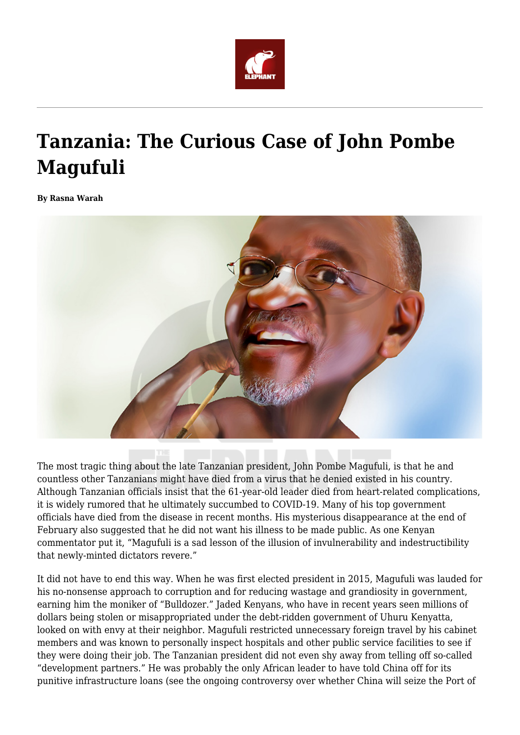

## **Tanzania: The Curious Case of John Pombe Magufuli**

**By Rasna Warah**



The most tragic thing about the late Tanzanian president, John Pombe Magufuli, is that he and countless other Tanzanians might have died from a virus that he denied existed in his country. Although Tanzanian officials insist that the 61-year-old leader died from heart-related complications, it is widely rumored that he ultimately succumbed to COVID-19. Many of his top government officials have died from the disease in recent months. His mysterious disappearance at the end of February also suggested that he did not want his illness to be made public. As one Kenyan commentator put it, "Magufuli is a sad lesson of the illusion of invulnerability and indestructibility that newly-minted dictators revere."

It did not have to end this way. When he was first elected president in 2015, Magufuli was lauded for his no-nonsense approach to corruption and for reducing wastage and grandiosity in government, earning him the moniker of "Bulldozer." Jaded Kenyans, who have in recent years seen millions of dollars being stolen or misappropriated under the debt-ridden government of Uhuru Kenyatta, looked on with envy at their neighbor. Magufuli restricted unnecessary foreign travel by his cabinet members and was known to personally inspect hospitals and other public service facilities to see if they were doing their job. The Tanzanian president did not even shy away from telling off so-called "development partners." He was probably the only African leader to have told China off for its punitive infrastructure loans (see the ongoing controversy over whether China will seize the Port of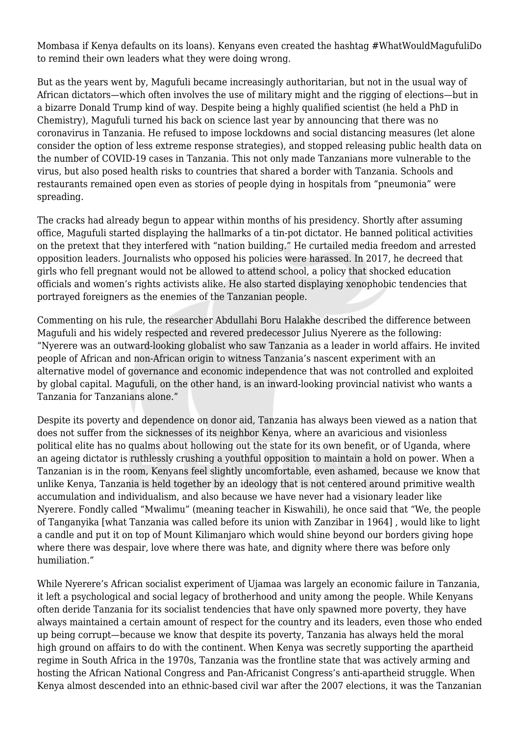Mombasa if Kenya defaults on its loans). Kenyans even created the hashtag #WhatWouldMagufuliDo to remind their own leaders what they were doing wrong.

But as the years went by, Magufuli became increasingly authoritarian, but not in the usual way of African dictators—which often involves the use of military might and the rigging of elections—but in a bizarre Donald Trump kind of way. Despite being a highly qualified scientist (he held a PhD in Chemistry), Magufuli turned his back on science last year by announcing that there was no coronavirus in Tanzania. He refused to impose lockdowns and social distancing measures (let alone consider the option of less extreme response strategies), and stopped releasing public health data on the number of COVID-19 cases in Tanzania. This not only made Tanzanians more vulnerable to the virus, but also posed health risks to countries that shared a border with Tanzania. Schools and restaurants remained open even as stories of people dying in hospitals from "pneumonia" were spreading.

The cracks had already begun to appear within months of his presidency. Shortly after assuming office, Magufuli started displaying the hallmarks of a tin-pot dictator. He banned political activities on the pretext that they interfered with "nation building." He curtailed media freedom and arrested opposition leaders. Journalists who opposed his policies were harassed. In 2017, he decreed that girls who fell pregnant would not be allowed to attend school, a policy that shocked education officials and women's rights activists alike. He also started displaying xenophobic tendencies that portrayed foreigners as the enemies of the Tanzanian people.

Commenting on his rule, the researcher Abdullahi Boru Halakhe described the difference between Magufuli and his widely respected and revered predecessor Julius Nyerere as the following: "Nyerere was an outward-looking globalist who saw Tanzania as a leader in world affairs. He invited people of African and non-African origin to witness Tanzania's nascent experiment with an alternative model of governance and economic independence that was not controlled and exploited by global capital. Magufuli, on the other hand, is an inward-looking provincial nativist who wants a Tanzania for Tanzanians alone."

Despite its poverty and dependence on donor aid, Tanzania has always been viewed as a nation that does not suffer from the sicknesses of its neighbor Kenya, where an avaricious and visionless political elite has no qualms about hollowing out the state for its own benefit, or of Uganda, where an ageing dictator is ruthlessly crushing a youthful opposition to maintain a hold on power. When a Tanzanian is in the room, Kenyans feel slightly uncomfortable, even ashamed, because we know that unlike Kenya, Tanzania is held together by an ideology that is not centered around primitive wealth accumulation and individualism, and also because we have never had a visionary leader like Nyerere. Fondly called "Mwalimu" (meaning teacher in Kiswahili), he once said that "We, the people of Tanganyika [what Tanzania was called before its union with Zanzibar in 1964] , would like to light a candle and put it on top of Mount Kilimanjaro which would shine beyond our borders giving hope where there was despair, love where there was hate, and dignity where there was before only humiliation."

While Nyerere's African socialist experiment of Ujamaa was largely an economic failure in Tanzania, it left a psychological and social legacy of brotherhood and unity among the people. While Kenyans often deride Tanzania for its socialist tendencies that have only spawned more poverty, they have always maintained a certain amount of respect for the country and its leaders, even those who ended up being corrupt—because we know that despite its poverty, Tanzania has always held the moral high ground on affairs to do with the continent. When Kenya was secretly supporting the apartheid regime in South Africa in the 1970s, Tanzania was the frontline state that was actively arming and hosting the African National Congress and Pan-Africanist Congress's anti-apartheid struggle. When Kenya almost descended into an ethnic-based civil war after the 2007 elections, it was the Tanzanian